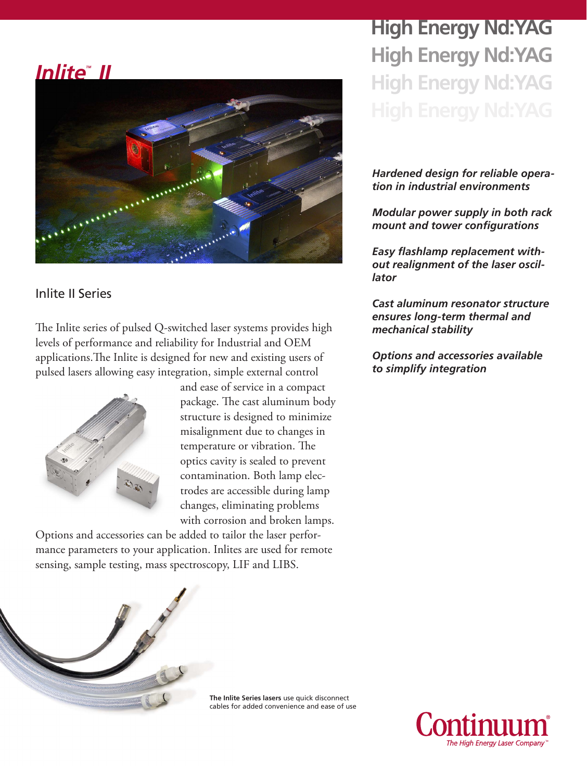## *InliteTM II*



## Inlite II Series

The Inlite series of pulsed Q-switched laser systems provides high levels of performance and reliability for Industrial and OEM applications.The Inlite is designed for new and existing users of pulsed lasers allowing easy integration, simple external control



and ease of service in a compact package. The cast aluminum body structure is designed to minimize misalignment due to changes in temperature or vibration. The optics cavity is sealed to prevent contamination. Both lamp electrodes are accessible during lamp changes, eliminating problems with corrosion and broken lamps.

Options and accessories can be added to tailor the laser performance parameters to your application. Inlites are used for remote sensing, sample testing, mass spectroscopy, LIF and LIBS.

**High Energy Nd:YAG High Energy Nd:YAG High Energy Nd:YAG**

## *Hardened design for reliable operation in industrial environments*

*Modular power supply in both rack mount and tower configurations*

*Easy flashlamp replacement without realignment of the laser oscillator*

*Cast aluminum resonator structure ensures long-term thermal and mechanical stability*

*Options and accessories available to simplify integration*



**The Inlite Series lasers** use quick disconnect cables for added convenience and ease of use

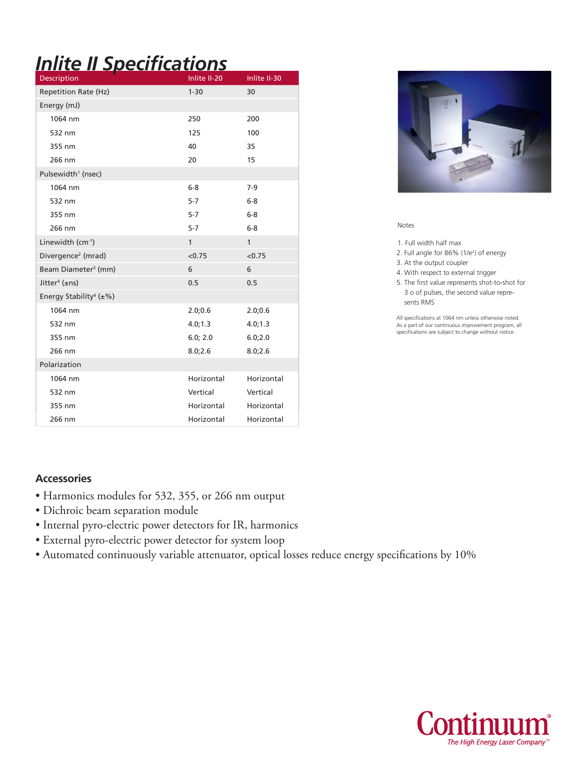# *Inlite II Specifications*

| Description                               | Inlite II-20 | Inlite II-30 |
|-------------------------------------------|--------------|--------------|
| <b>Repetition Rate (Hz)</b>               | $1 - 30$     | 30           |
| Energy (mJ)                               |              |              |
| 1064 nm                                   | 250          | 200          |
| 532 nm                                    | 125          | 100          |
| 355 nm                                    | 40           | 35           |
| 266 nm                                    | 20           | 15           |
| Pulsewidth <sup>1</sup> (nsec)            |              |              |
| 1064 nm                                   | $6-8$        | $7-9$        |
| 532 nm                                    | $5 - 7$      | $6 - 8$      |
| 355 nm                                    | $5 - 7$      | $6-8$        |
| 266 nm                                    | $5 - 7$      | $6-8$        |
| Linewidth (cm <sup>-1</sup> )             | $\mathbf{1}$ | 1            |
| Divergence <sup>2</sup> (mrad)            | < 0.75       | < 0.75       |
| Beam Diameter <sup>3</sup> (mm)           | 6            | 6            |
| Jitter <sup>4</sup> ( $\pm$ ns)           | 0.5          | 0.5          |
| Energy Stability <sup>4</sup> ( $\pm\%$ ) |              |              |
| 1064 nm                                   | 2.0;0.6      | 2.0;0.6      |
| 532 nm                                    | 4.0; 1.3     | 4.0; 1.3     |
| 355 nm                                    | 6.0; 2.0     | 6.0;2.0      |
| 266 nm                                    | 8.0;2.6      | 8.0;2.6      |
| Polarization                              |              |              |
| 1064 nm                                   | Horizontal   | Horizontal   |
| 532 nm                                    | Vertical     | Vertical     |
| 355 nm                                    | Horizontal   | Horizontal   |
| 266 nm                                    | Horizontal   | Horizontal   |



Notes

1. Full width half max

2. Full angle for 86% (1/e2 ) of energy

3. At the output coupler

4. With respect to external trigger

5. The first value represents shot-to-shot for 3 o of pulses, the second value repre sents RMS

All specifications at 1064 nm unless otherwise noted. As a part of our continuous improvement program, all specifications are subject to change without notice.

### **Accessories**

- Harmonics modules for 532, 355, or 266 nm output
- Dichroic beam separation module
- Internal pyro-electric power detectors for IR, harmonics
- External pyro-electric power detector for system loop
- Automated continuously variable attenuator, optical losses reduce energy specifications by 10%